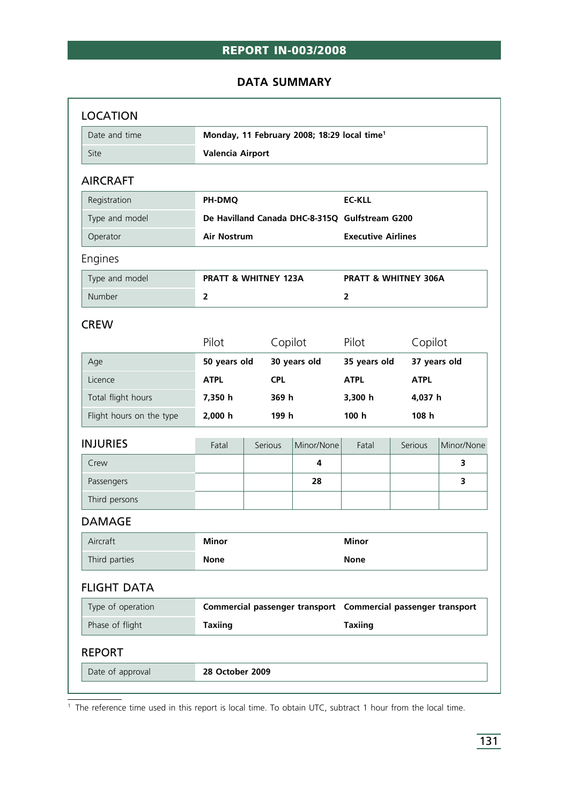# **REPORT IN-003/2008**

#### **DATA SUMMARY**

| Date and time            | Monday, 11 February 2008; 18:29 local time <sup>1</sup>              |              |             |                                                                |         |              |  |
|--------------------------|----------------------------------------------------------------------|--------------|-------------|----------------------------------------------------------------|---------|--------------|--|
| Site                     | <b>Valencia Airport</b>                                              |              |             |                                                                |         |              |  |
| <b>AIRCRAFT</b>          |                                                                      |              |             |                                                                |         |              |  |
| Registration             | PH-DMQ                                                               |              |             | <b>EC-KLL</b>                                                  |         |              |  |
| Type and model           | De Havilland Canada DHC-8-315Q Gulfstream G200<br><b>Air Nostrum</b> |              |             | <b>Executive Airlines</b>                                      |         |              |  |
| Operator                 |                                                                      |              |             |                                                                |         |              |  |
| Engines                  |                                                                      |              |             |                                                                |         |              |  |
| Type and model           | <b>PRATT &amp; WHITNEY 123A</b>                                      |              |             | <b>PRATT &amp; WHITNEY 306A</b>                                |         |              |  |
| Number                   | $\overline{2}$                                                       |              |             | $\overline{2}$                                                 |         |              |  |
| <b>CREW</b>              |                                                                      |              |             |                                                                |         |              |  |
|                          | Pilot                                                                | Copilot      |             | Pilot                                                          | Copilot |              |  |
| Age                      | 50 years old                                                         | 30 years old |             | 35 years old                                                   |         | 37 years old |  |
| Licence                  | <b>CPL</b><br><b>ATPL</b>                                            |              | <b>ATPL</b> | <b>ATPL</b>                                                    |         |              |  |
| Total flight hours       | 7,350 h                                                              | 369 h        |             | 3,300 h                                                        | 4,037 h |              |  |
| Flight hours on the type | 2,000 h                                                              | 199 h        |             | 100 <sub>h</sub>                                               |         | 108 h        |  |
| <b>INJURIES</b>          | Fatal                                                                | Serious      | Minor/None  | Fatal                                                          | Serious | Minor/None   |  |
| Crew                     |                                                                      |              | 4           |                                                                |         | 3.           |  |
| Passengers               |                                                                      |              | 28          |                                                                |         | 3            |  |
| Third persons            |                                                                      |              |             |                                                                |         |              |  |
| <b>DAMAGE</b>            |                                                                      |              |             |                                                                |         |              |  |
|                          | <b>Minor</b>                                                         |              |             | <b>Minor</b>                                                   |         |              |  |
| Aircraft                 | <b>None</b>                                                          |              |             | <b>None</b>                                                    |         |              |  |
| Third parties            |                                                                      |              |             |                                                                |         |              |  |
| <b>FLIGHT DATA</b>       |                                                                      |              |             |                                                                |         |              |  |
| Type of operation        |                                                                      |              |             | Commercial passenger transport  Commercial passenger transport |         |              |  |
| Phase of flight          | <b>Taxiing</b>                                                       |              |             | <b>Taxiing</b>                                                 |         |              |  |
| <b>REPORT</b>            |                                                                      |              |             |                                                                |         |              |  |

 $\frac{1}{1}$  The reference time used in this report is local time. To obtain UTC, subtract 1 hour from the local time.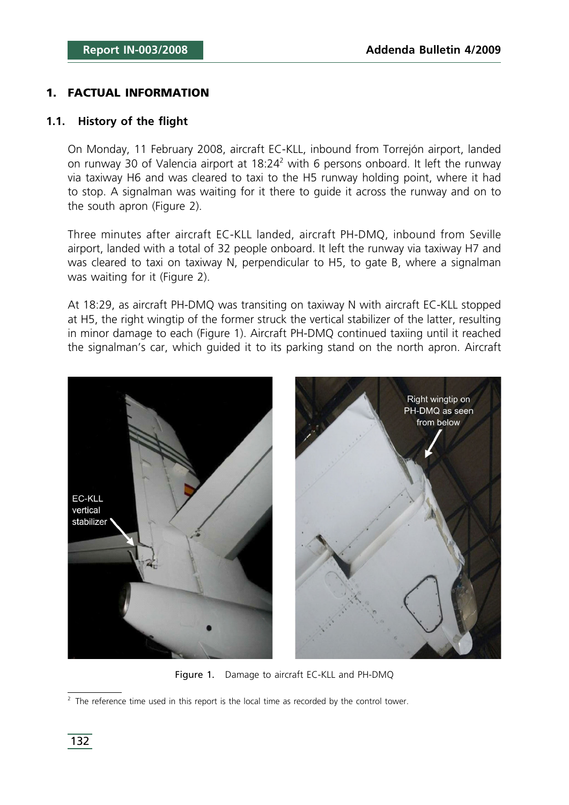#### **1. FACTUAL INFORMATION**

#### **1.1. History of the flight**

On Monday, 11 February 2008, aircraft EC-KLL, inbound from Torrejón airport, landed on runway 30 of Valencia airport at  $18:24<sup>2</sup>$  with 6 persons onboard. It left the runway via taxiway H6 and was cleared to taxi to the H5 runway holding point, where it had to stop. A signalman was waiting for it there to guide it across the runway and on to the south apron (Figure 2).

Three minutes after aircraft EC-KLL landed, aircraft PH-DMQ, inbound from Seville airport, landed with a total of 32 people onboard. It left the runway via taxiway H7 and was cleared to taxi on taxiway N, perpendicular to H5, to gate B, where a signalman was waiting for it (Figure 2).

At 18:29, as aircraft PH-DMQ was transiting on taxiway N with aircraft EC-KLL stopped at H5, the right wingtip of the former struck the vertical stabilizer of the latter, resulting in minor damage to each (Figure 1). Aircraft PH-DMQ continued taxiing until it reached the signalman's car, which guided it to its parking stand on the north apron. Aircraft



Figure 1. Damage to aircraft EC-KLL and PH-DMQ

 $2$  The reference time used in this report is the local time as recorded by the control tower.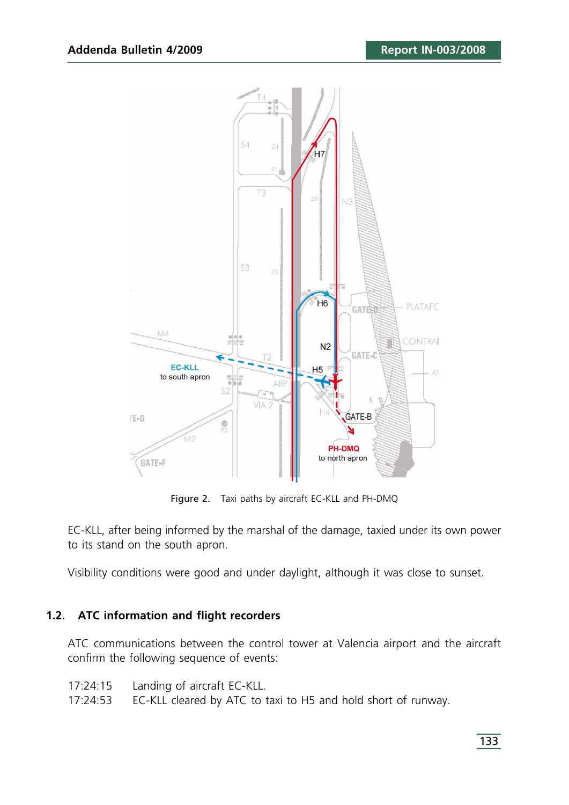

Figure 2. Taxi paths by aircraft EC-KLL and PH-DMQ

EC-KLL, after being informed by the marshal of the damage, taxied under its own power to its stand on the south apron.

Visibility conditions were good and under daylight, although it was close to sunset.

#### **1.2. ATC information and flight recorders**

ATC communications between the control tower at Valencia airport and the aircraft confirm the following sequence of events:

- 17:24:15 Landing of aircraft EC-KLL.
- 17:24:53 EC-KLL cleared by ATC to taxi to H5 and hold short of runway.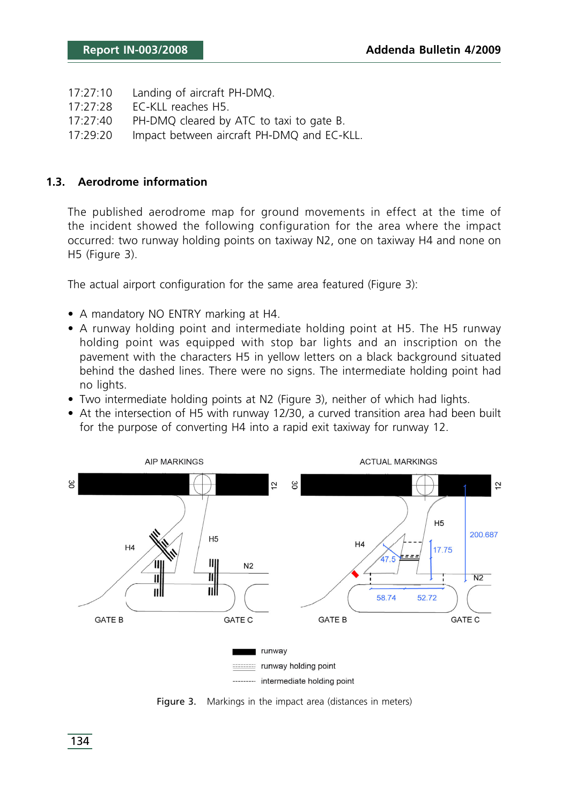- 17:27:10 Landing of aircraft PH-DMQ.
- 17:27:28 EC-KLL reaches H5.
- 17:27:40 PH-DMQ cleared by ATC to taxi to gate B.
- 17:29:20 Impact between aircraft PH-DMQ and EC-KLL.

#### **1.3. Aerodrome information**

The published aerodrome map for ground movements in effect at the time of the incident showed the following configuration for the area where the impact occurred: two runway holding points on taxiway N2, one on taxiway H4 and none on H5 (Figure 3).

The actual airport configuration for the same area featured (Figure 3):

- A mandatory NO ENTRY marking at H4.
- A runway holding point and intermediate holding point at H5. The H5 runway holding point was equipped with stop bar lights and an inscription on the pavement with the characters H5 in yellow letters on a black background situated behind the dashed lines. There were no signs. The intermediate holding point had no lights.
- Two intermediate holding points at N2 (Figure 3), neither of which had lights.
- At the intersection of H5 with runway 12/30, a curved transition area had been built for the purpose of converting H4 into a rapid exit taxiway for runway 12.



Figure 3. Markings in the impact area (distances in meters)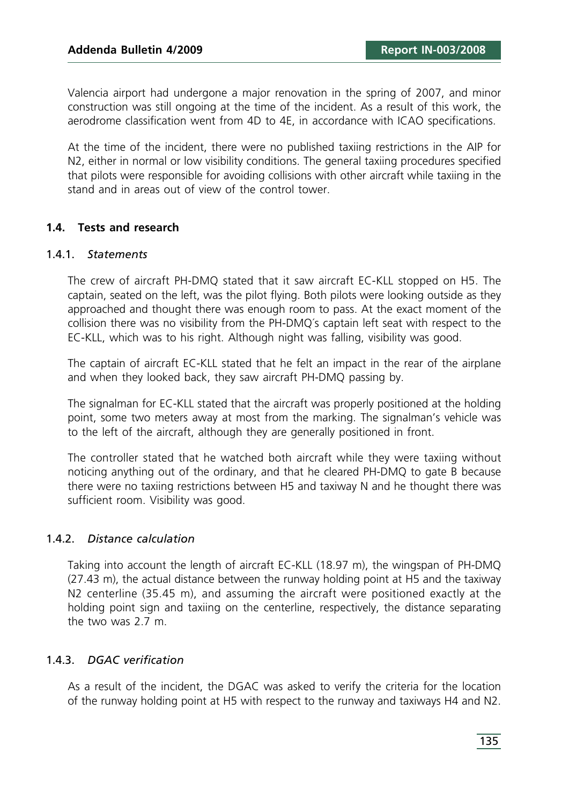Valencia airport had undergone a major renovation in the spring of 2007, and minor construction was still ongoing at the time of the incident. As a result of this work, the aerodrome classification went from 4D to 4E, in accordance with ICAO specifications.

At the time of the incident, there were no published taxiing restrictions in the AIP for N2, either in normal or low visibility conditions. The general taxiing procedures specified that pilots were responsible for avoiding collisions with other aircraft while taxiing in the stand and in areas out of view of the control tower.

#### **1.4. Tests and research**

#### 1.4.1. *Statements*

The crew of aircraft PH-DMQ stated that it saw aircraft EC-KLL stopped on H5. The captain, seated on the left, was the pilot flying. Both pilots were looking outside as they approached and thought there was enough room to pass. At the exact moment of the collision there was no visibility from the PH-DMQ´s captain left seat with respect to the EC-KLL, which was to his right. Although night was falling, visibility was good.

The captain of aircraft EC-KLL stated that he felt an impact in the rear of the airplane and when they looked back, they saw aircraft PH-DMQ passing by.

The signalman for EC-KLL stated that the aircraft was properly positioned at the holding point, some two meters away at most from the marking. The signalman's vehicle was to the left of the aircraft, although they are generally positioned in front.

The controller stated that he watched both aircraft while they were taxiing without noticing anything out of the ordinary, and that he cleared PH-DMQ to gate B because there were no taxiing restrictions between H5 and taxiway N and he thought there was sufficient room. Visibility was good.

#### 1.4.2. *Distance calculation*

Taking into account the length of aircraft EC-KLL (18.97 m), the wingspan of PH-DMQ (27.43 m), the actual distance between the runway holding point at H5 and the taxiway N2 centerline (35.45 m), and assuming the aircraft were positioned exactly at the holding point sign and taxiing on the centerline, respectively, the distance separating the two was 2.7 m.

#### 1.4.3. *DGAC verification*

As a result of the incident, the DGAC was asked to verify the criteria for the location of the runway holding point at H5 with respect to the runway and taxiways H4 and N2.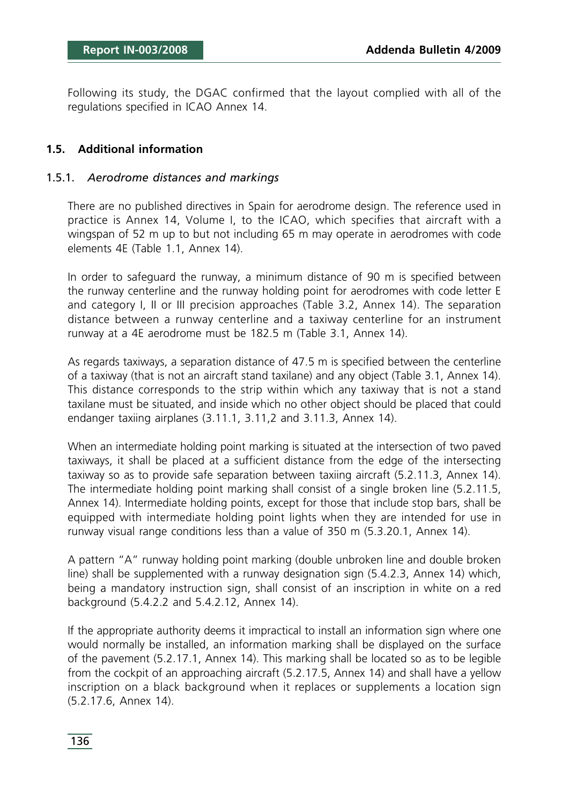Following its study, the DGAC confirmed that the layout complied with all of the regulations specified in ICAO Annex 14.

## **1.5. Additional information**

#### 1.5.1. *Aerodrome distances and markings*

There are no published directives in Spain for aerodrome design. The reference used in practice is Annex 14, Volume I, to the ICAO, which specifies that aircraft with a wingspan of 52 m up to but not including 65 m may operate in aerodromes with code elements 4E (Table 1.1, Annex 14).

In order to safeguard the runway, a minimum distance of 90 m is specified between the runway centerline and the runway holding point for aerodromes with code letter E and category I, II or III precision approaches (Table 3.2, Annex 14). The separation distance between a runway centerline and a taxiway centerline for an instrument runway at a 4E aerodrome must be 182.5 m (Table 3.1, Annex 14).

As regards taxiways, a separation distance of 47.5 m is specified between the centerline of a taxiway (that is not an aircraft stand taxilane) and any object (Table 3.1, Annex 14). This distance corresponds to the strip within which any taxiway that is not a stand taxilane must be situated, and inside which no other object should be placed that could endanger taxiing airplanes (3.11.1, 3.11,2 and 3.11.3, Annex 14).

When an intermediate holding point marking is situated at the intersection of two paved taxiways, it shall be placed at a sufficient distance from the edge of the intersecting taxiway so as to provide safe separation between taxiing aircraft (5.2.11.3, Annex 14). The intermediate holding point marking shall consist of a single broken line (5.2.11.5, Annex 14). Intermediate holding points, except for those that include stop bars, shall be equipped with intermediate holding point lights when they are intended for use in runway visual range conditions less than a value of 350 m (5.3.20.1, Annex 14).

A pattern "A" runway holding point marking (double unbroken line and double broken line) shall be supplemented with a runway designation sign (5.4.2.3, Annex 14) which, being a mandatory instruction sign, shall consist of an inscription in white on a red background (5.4.2.2 and 5.4.2.12, Annex 14).

If the appropriate authority deems it impractical to install an information sign where one would normally be installed, an information marking shall be displayed on the surface of the pavement (5.2.17.1, Annex 14). This marking shall be located so as to be legible from the cockpit of an approaching aircraft (5.2.17.5, Annex 14) and shall have a yellow inscription on a black background when it replaces or supplements a location sign (5.2.17.6, Annex 14).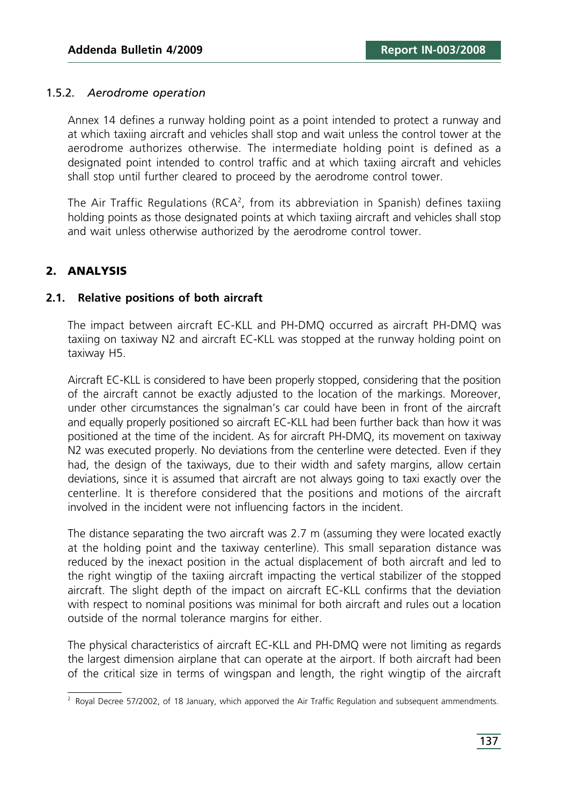#### 1.5.2. *Aerodrome operation*

Annex 14 defines a runway holding point as a point intended to protect a runway and at which taxiing aircraft and vehicles shall stop and wait unless the control tower at the aerodrome authorizes otherwise. The intermediate holding point is defined as a designated point intended to control traffic and at which taxiing aircraft and vehicles shall stop until further cleared to proceed by the aerodrome control tower.

The Air Traffic Regulations (RCA<sup>2</sup>, from its abbreviation in Spanish) defines taxiing holding points as those designated points at which taxiing aircraft and vehicles shall stop and wait unless otherwise authorized by the aerodrome control tower.

### **2. ANALYSIS**

#### **2.1. Relative positions of both aircraft**

The impact between aircraft EC-KLL and PH-DMQ occurred as aircraft PH-DMQ was taxiing on taxiway N2 and aircraft EC-KLL was stopped at the runway holding point on taxiway H5.

Aircraft EC-KLL is considered to have been properly stopped, considering that the position of the aircraft cannot be exactly adjusted to the location of the markings. Moreover, under other circumstances the signalman's car could have been in front of the aircraft and equally properly positioned so aircraft EC-KLL had been further back than how it was positioned at the time of the incident. As for aircraft PH-DMQ, its movement on taxiway N2 was executed properly. No deviations from the centerline were detected. Even if they had, the design of the taxiways, due to their width and safety margins, allow certain deviations, since it is assumed that aircraft are not always going to taxi exactly over the centerline. It is therefore considered that the positions and motions of the aircraft involved in the incident were not influencing factors in the incident.

The distance separating the two aircraft was 2.7 m (assuming they were located exactly at the holding point and the taxiway centerline). This small separation distance was reduced by the inexact position in the actual displacement of both aircraft and led to the right wingtip of the taxiing aircraft impacting the vertical stabilizer of the stopped aircraft. The slight depth of the impact on aircraft EC-KLL confirms that the deviation with respect to nominal positions was minimal for both aircraft and rules out a location outside of the normal tolerance margins for either.

The physical characteristics of aircraft EC-KLL and PH-DMQ were not limiting as regards the largest dimension airplane that can operate at the airport. If both aircraft had been of the critical size in terms of wingspan and length, the right wingtip of the aircraft

<sup>&</sup>lt;sup>2</sup> Roval Decree 57/2002, of 18 January, which apporved the Air Traffic Regulation and subsequent ammendments.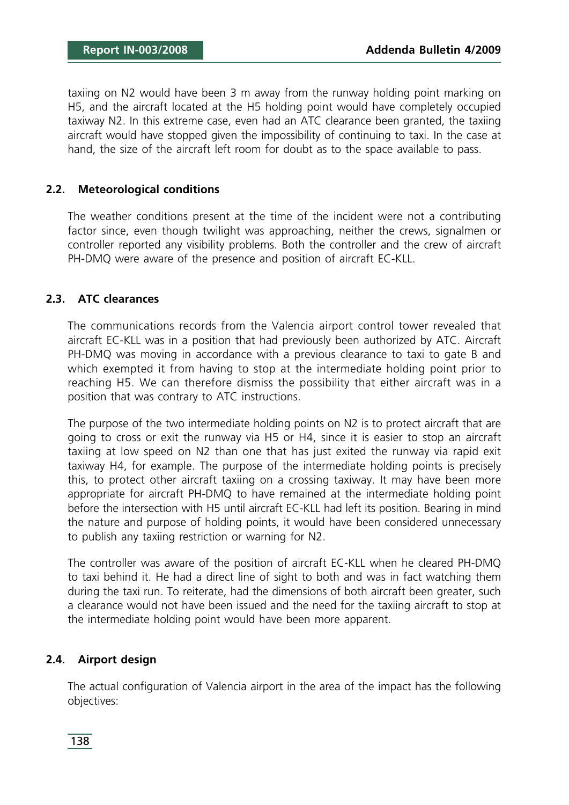taxiing on N2 would have been 3 m away from the runway holding point marking on H5, and the aircraft located at the H5 holding point would have completely occupied taxiway N2. In this extreme case, even had an ATC clearance been granted, the taxiing aircraft would have stopped given the impossibility of continuing to taxi. In the case at hand, the size of the aircraft left room for doubt as to the space available to pass.

#### **2.2. Meteorological conditions**

The weather conditions present at the time of the incident were not a contributing factor since, even though twilight was approaching, neither the crews, signalmen or controller reported any visibility problems. Both the controller and the crew of aircraft PH-DMQ were aware of the presence and position of aircraft EC-KLL.

#### **2.3. ATC clearances**

The communications records from the Valencia airport control tower revealed that aircraft EC-KLL was in a position that had previously been authorized by ATC. Aircraft PH-DMQ was moving in accordance with a previous clearance to taxi to gate B and which exempted it from having to stop at the intermediate holding point prior to reaching H5. We can therefore dismiss the possibility that either aircraft was in a position that was contrary to ATC instructions.

The purpose of the two intermediate holding points on N2 is to protect aircraft that are going to cross or exit the runway via H5 or H4, since it is easier to stop an aircraft taxiing at low speed on N2 than one that has just exited the runway via rapid exit taxiway H4, for example. The purpose of the intermediate holding points is precisely this, to protect other aircraft taxiing on a crossing taxiway. It may have been more appropriate for aircraft PH-DMQ to have remained at the intermediate holding point before the intersection with H5 until aircraft EC-KLL had left its position. Bearing in mind the nature and purpose of holding points, it would have been considered unnecessary to publish any taxiing restriction or warning for N2.

The controller was aware of the position of aircraft EC-KLL when he cleared PH-DMQ to taxi behind it. He had a direct line of sight to both and was in fact watching them during the taxi run. To reiterate, had the dimensions of both aircraft been greater, such a clearance would not have been issued and the need for the taxiing aircraft to stop at the intermediate holding point would have been more apparent.

### **2.4. Airport design**

The actual configuration of Valencia airport in the area of the impact has the following objectives: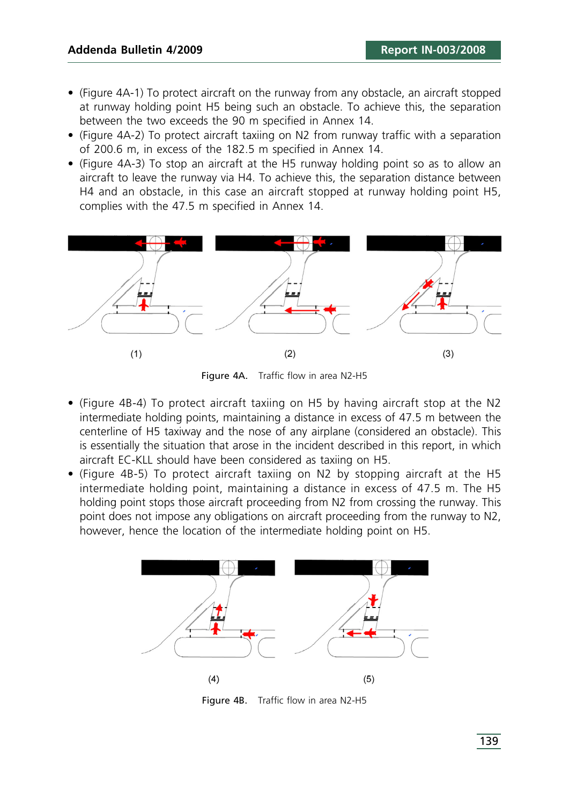- (Figure 4A-1) To protect aircraft on the runway from any obstacle, an aircraft stopped at runway holding point H5 being such an obstacle. To achieve this, the separation between the two exceeds the 90 m specified in Annex 14.
- (Figure 4A-2) To protect aircraft taxiing on N2 from runway traffic with a separation of 200.6 m, in excess of the 182.5 m specified in Annex 14.
- (Figure 4A-3) To stop an aircraft at the H5 runway holding point so as to allow an aircraft to leave the runway via H4. To achieve this, the separation distance between H4 and an obstacle, in this case an aircraft stopped at runway holding point H5, complies with the 47.5 m specified in Annex 14.



Figure 4A. Traffic flow in area N2-H5

- (Figure 4B-4) To protect aircraft taxiing on H5 by having aircraft stop at the N2 intermediate holding points, maintaining a distance in excess of 47.5 m between the centerline of H5 taxiway and the nose of any airplane (considered an obstacle). This is essentially the situation that arose in the incident described in this report, in which aircraft EC-KLL should have been considered as taxiing on H5.
- (Figure 4B-5) To protect aircraft taxiing on N2 by stopping aircraft at the H5 intermediate holding point, maintaining a distance in excess of 47.5 m. The H5 holding point stops those aircraft proceeding from N2 from crossing the runway. This point does not impose any obligations on aircraft proceeding from the runway to N2, however, hence the location of the intermediate holding point on H5.



Figure 4B. Traffic flow in area N2-H5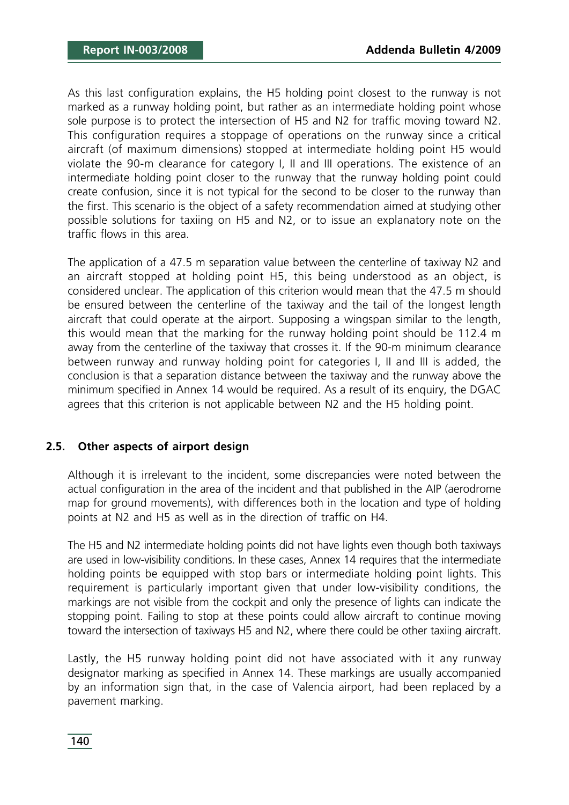As this last configuration explains, the H5 holding point closest to the runway is not marked as a runway holding point, but rather as an intermediate holding point whose sole purpose is to protect the intersection of H5 and N2 for traffic moving toward N2. This configuration requires a stoppage of operations on the runway since a critical aircraft (of maximum dimensions) stopped at intermediate holding point H5 would violate the 90-m clearance for category I, II and III operations. The existence of an intermediate holding point closer to the runway that the runway holding point could create confusion, since it is not typical for the second to be closer to the runway than the first. This scenario is the object of a safety recommendation aimed at studying other possible solutions for taxiing on H5 and N2, or to issue an explanatory note on the traffic flows in this area.

The application of a 47.5 m separation value between the centerline of taxiway N2 and an aircraft stopped at holding point H5, this being understood as an object, is considered unclear. The application of this criterion would mean that the 47.5 m should be ensured between the centerline of the taxiway and the tail of the longest length aircraft that could operate at the airport. Supposing a wingspan similar to the length, this would mean that the marking for the runway holding point should be 112.4 m away from the centerline of the taxiway that crosses it. If the 90-m minimum clearance between runway and runway holding point for categories I, II and III is added, the conclusion is that a separation distance between the taxiway and the runway above the minimum specified in Annex 14 would be required. As a result of its enquiry, the DGAC agrees that this criterion is not applicable between N2 and the H5 holding point.

#### **2.5. Other aspects of airport design**

Although it is irrelevant to the incident, some discrepancies were noted between the actual configuration in the area of the incident and that published in the AIP (aerodrome map for ground movements), with differences both in the location and type of holding points at N2 and H5 as well as in the direction of traffic on H4.

The H5 and N2 intermediate holding points did not have lights even though both taxiways are used in low-visibility conditions. In these cases, Annex 14 requires that the intermediate holding points be equipped with stop bars or intermediate holding point lights. This requirement is particularly important given that under low-visibility conditions, the markings are not visible from the cockpit and only the presence of lights can indicate the stopping point. Failing to stop at these points could allow aircraft to continue moving toward the intersection of taxiways H5 and N2, where there could be other taxiing aircraft.

Lastly, the H5 runway holding point did not have associated with it any runway designator marking as specified in Annex 14. These markings are usually accompanied by an information sign that, in the case of Valencia airport, had been replaced by a pavement marking.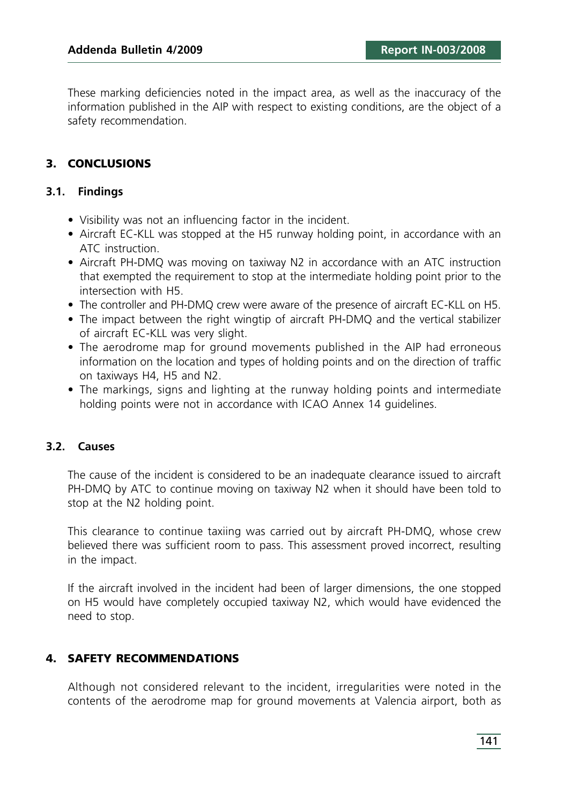These marking deficiencies noted in the impact area, as well as the inaccuracy of the information published in the AIP with respect to existing conditions, are the object of a safety recommendation.

## **3. CONCLUSIONS**

#### **3.1. Findings**

- Visibility was not an influencing factor in the incident.
- Aircraft EC-KLL was stopped at the H5 runway holding point, in accordance with an ATC instruction.
- Aircraft PH-DMQ was moving on taxiway N2 in accordance with an ATC instruction that exempted the requirement to stop at the intermediate holding point prior to the intersection with H5.
- The controller and PH-DMQ crew were aware of the presence of aircraft EC-KLL on H5.
- The impact between the right wingtip of aircraft PH-DMQ and the vertical stabilizer of aircraft EC-KLL was very slight.
- The aerodrome map for ground movements published in the AIP had erroneous information on the location and types of holding points and on the direction of traffic on taxiways H4, H5 and N2.
- The markings, signs and lighting at the runway holding points and intermediate holding points were not in accordance with ICAO Annex 14 guidelines.

#### **3.2. Causes**

The cause of the incident is considered to be an inadequate clearance issued to aircraft PH-DMQ by ATC to continue moving on taxiway N2 when it should have been told to stop at the N2 holding point.

This clearance to continue taxiing was carried out by aircraft PH-DMQ, whose crew believed there was sufficient room to pass. This assessment proved incorrect, resulting in the impact.

If the aircraft involved in the incident had been of larger dimensions, the one stopped on H5 would have completely occupied taxiway N2, which would have evidenced the need to stop.

### **4. SAFETY RECOMMENDATIONS**

Although not considered relevant to the incident, irregularities were noted in the contents of the aerodrome map for ground movements at Valencia airport, both as